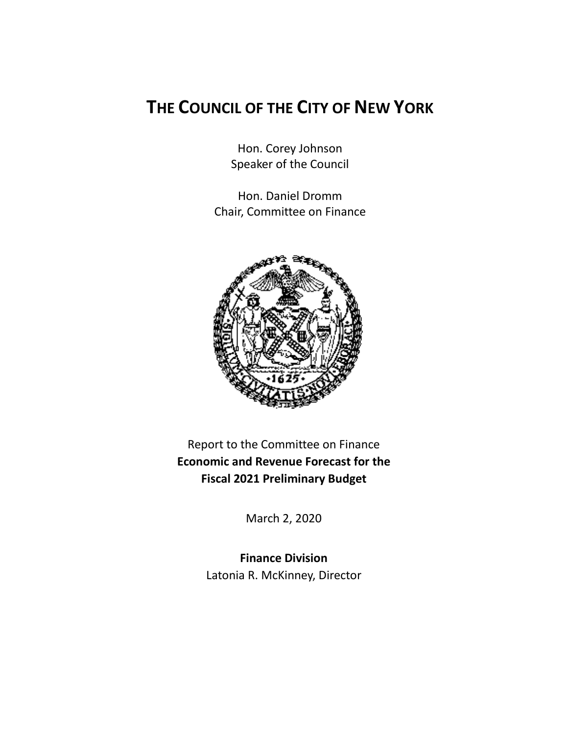# **THE COUNCIL OF THE CITY OF NEW YORK**

Hon. Corey Johnson Speaker of the Council

Hon. Daniel Dromm Chair, Committee on Finance



Report to the Committee on Finance **Economic and Revenue Forecast for the Fiscal 2021 Preliminary Budget**

March 2, 2020

**Finance Division** Latonia R. McKinney, Director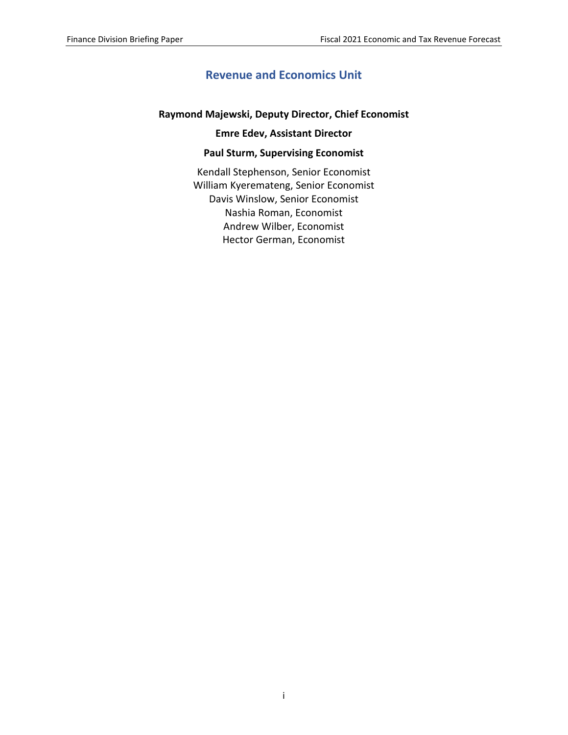# **Revenue and Economics Unit**

#### **Raymond Majewski, Deputy Director, Chief Economist**

#### **Emre Edev, Assistant Director**

#### **Paul Sturm, Supervising Economist**

Kendall Stephenson, Senior Economist William Kyeremateng, Senior Economist Davis Winslow, Senior Economist Nashia Roman, Economist Andrew Wilber, Economist Hector German, Economist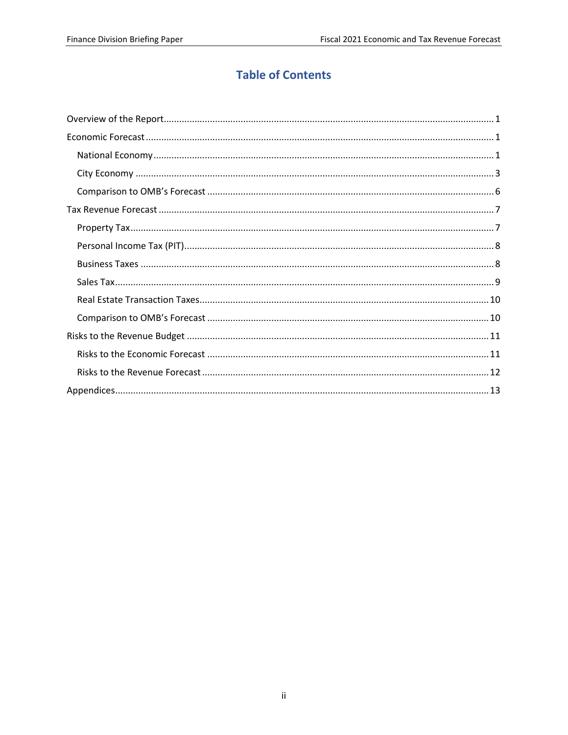# **Table of Contents**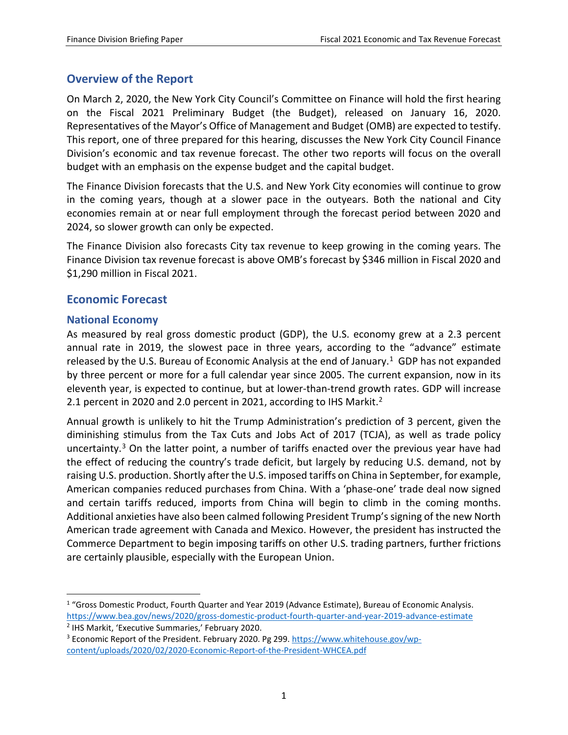# <span id="page-3-0"></span>**Overview of the Report**

On March 2, 2020, the New York City Council's Committee on Finance will hold the first hearing on the Fiscal 2021 Preliminary Budget (the Budget), released on January 16, 2020. Representatives of the Mayor's Office of Management and Budget (OMB) are expected to testify. This report, one of three prepared for this hearing, discusses the New York City Council Finance Division's economic and tax revenue forecast. The other two reports will focus on the overall budget with an emphasis on the expense budget and the capital budget.

The Finance Division forecasts that the U.S. and New York City economies will continue to grow in the coming years, though at a slower pace in the outyears. Both the national and City economies remain at or near full employment through the forecast period between 2020 and 2024, so slower growth can only be expected.

The Finance Division also forecasts City tax revenue to keep growing in the coming years. The Finance Division tax revenue forecast is above OMB's forecast by \$346 million in Fiscal 2020 and \$1,290 million in Fiscal 2021.

# <span id="page-3-1"></span>**Economic Forecast**

### <span id="page-3-2"></span>**National Economy**

As measured by real gross domestic product (GDP), the U.S. economy grew at a 2.3 percent annual rate in 2019, the slowest pace in three years, according to the "advance" estimate released by the U.S. Bureau of Economic Analysis at the end of January.<sup>[1](#page-3-3)</sup> GDP has not expanded by three percent or more for a full calendar year since 2005. The current expansion, now in its eleventh year, is expected to continue, but at lower-than-trend growth rates. GDP will increase 2.1 percent in 2020 and 2.0 percent in 2021, according to IHS Markit.<sup>2</sup>

Annual growth is unlikely to hit the Trump Administration's prediction of 3 percent, given the diminishing stimulus from the Tax Cuts and Jobs Act of 2017 (TCJA), as well as trade policy uncertainty.<sup>[3](#page-3-5)</sup> On the latter point, a number of tariffs enacted over the previous year have had the effect of reducing the country's trade deficit, but largely by reducing U.S. demand, not by raising U.S. production. Shortly after the U.S. imposed tariffs on China in September, for example, American companies reduced purchases from China. With a 'phase-one' trade deal now signed and certain tariffs reduced, imports from China will begin to climb in the coming months. Additional anxieties have also been calmed following President Trump's signing of the new North American trade agreement with Canada and Mexico. However, the president has instructed the Commerce Department to begin imposing tariffs on other U.S. trading partners, further frictions are certainly plausible, especially with the European Union.

<span id="page-3-3"></span><sup>&</sup>lt;sup>1</sup> "Gross Domestic Product, Fourth Quarter and Year 2019 (Advance Estimate), Bureau of Economic Analysis. <https://www.bea.gov/news/2020/gross-domestic-product-fourth-quarter-and-year-2019-advance-estimate>

<span id="page-3-4"></span><sup>2</sup> IHS Markit, 'Executive Summaries,' February 2020.

<span id="page-3-5"></span><sup>3</sup> Economic Report of the President. February 2020. Pg 299. [https://www.whitehouse.gov/wp](https://www.whitehouse.gov/wp-content/uploads/2020/02/2020-Economic-Report-of-the-President-WHCEA.pdf)[content/uploads/2020/02/2020-Economic-Report-of-the-President-WHCEA.pdf](https://www.whitehouse.gov/wp-content/uploads/2020/02/2020-Economic-Report-of-the-President-WHCEA.pdf)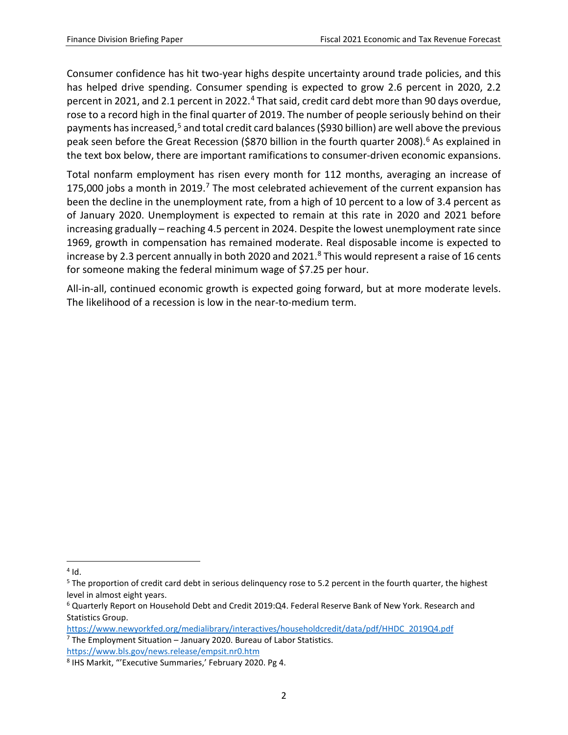Consumer confidence has hit two-year highs despite uncertainty around trade policies, and this has helped drive spending. Consumer spending is expected to grow 2.6 percent in 2020, 2.2 percent in 2021, and 2.1 percent in 2022.<sup>4</sup> That said, credit card debt more than 90 days overdue, rose to a record high in the final quarter of 2019. The number of people seriously behind on their payments has increased,<sup>[5](#page-4-1)</sup> and total credit card balances (\$930 billion) are well above the previous peak seen before the Great Recession (\$870 billion in the fourth quarter 2008).<sup>6</sup> As explained in the text box below, there are important ramifications to consumer-driven economic expansions.

Total nonfarm employment has risen every month for 112 months, averaging an increase of 1[7](#page-4-3)5,000 jobs a month in 2019.<sup>7</sup> The most celebrated achievement of the current expansion has been the decline in the unemployment rate, from a high of 10 percent to a low of 3.4 percent as of January 2020. Unemployment is expected to remain at this rate in 2020 and 2021 before increasing gradually – reaching 4.5 percent in 2024. Despite the lowest unemployment rate since 1969, growth in compensation has remained moderate. Real disposable income is expected to increase by 2.3 percent annually in both 2020 and 2021.<sup>8</sup> This would represent a raise of 16 cents for someone making the federal minimum wage of \$7.25 per hour.

All-in-all, continued economic growth is expected going forward, but at more moderate levels. The likelihood of a recession is low in the near-to-medium term.

<span id="page-4-0"></span> $4$  Id.

<span id="page-4-1"></span><sup>&</sup>lt;sup>5</sup> The proportion of credit card debt in serious delinquency rose to 5.2 percent in the fourth quarter, the highest level in almost eight years.

<span id="page-4-2"></span><sup>6</sup> Quarterly Report on Household Debt and Credit 2019:Q4. Federal Reserve Bank of New York. Research and Statistics Group.

<span id="page-4-3"></span>[https://www.newyorkfed.org/medialibrary/interactives/householdcredit/data/pdf/HHDC\\_2019Q4.pdf](https://www.newyorkfed.org/medialibrary/interactives/householdcredit/data/pdf/HHDC_2019Q4.pdf)  $7$  The Employment Situation – January 2020. Bureau of Labor Statistics. <https://www.bls.gov/news.release/empsit.nr0.htm>

<span id="page-4-4"></span><sup>8</sup> IHS Markit, "'Executive Summaries,' February 2020. Pg 4.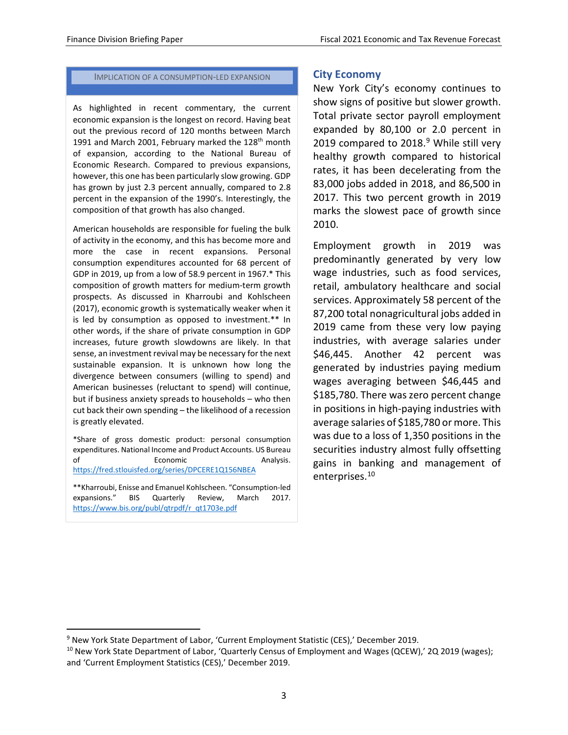#### IMPLICATION OF A CONSUMPTION-LED EXPANSION

As highlighted in recent commentary, the current economic expansion is the longest on record. Having beat out the previous record of 120 months between March 1991 and March 2001, February marked the 128<sup>th</sup> month of expansion, according to the National Bureau of Economic Research. Compared to previous expansions, however, this one has been particularly slow growing. GDP has grown by just 2.3 percent annually, compared to 2.8 percent in the expansion of the 1990's. Interestingly, the composition of that growth has also changed.

American households are responsible for fueling the bulk of activity in the economy, and this has become more and more the case in recent expansions. Personal consumption expenditures accounted for 68 percent of GDP in 2019, up from a low of 58.9 percent in 1967.\* This composition of growth matters for medium-term growth prospects. As discussed in Kharroubi and Kohlscheen (2017), economic growth is systematically weaker when it is led by consumption as opposed to investment.\*\* In other words, if the share of private consumption in GDP increases, future growth slowdowns are likely. In that sense, an investment revival may be necessary for the next sustainable expansion. It is unknown how long the divergence between consumers (willing to spend) and American businesses (reluctant to spend) will continue, but if business anxiety spreads to households – who then cut back their own spending – the likelihood of a recession is greatly elevated.

\*Share of gross domestic product: personal consumption expenditures. National Income and Product Accounts. US Bureau of Economic Analysis. <https://fred.stlouisfed.org/series/DPCERE1Q156NBEA>

\*\*Kharroubi, Enisse and Emanuel Kohlscheen. "Consumption-led expansions." BIS Quarterly Review, March 2017. [https://www.bis.org/publ/qtrpdf/r\\_qt1703e.pdf](https://www.bis.org/publ/qtrpdf/r_qt1703e.pdf) 

### <span id="page-5-0"></span>**City Economy**

New York City's economy continues to show signs of positive but slower growth. Total private sector payroll employment expanded by 80,100 or 2.0 percent in 201[9](#page-5-1) compared to  $2018.<sup>9</sup>$  While still very healthy growth compared to historical rates, it has been decelerating from the 83,000 jobs added in 2018, and 86,500 in 2017. This two percent growth in 2019 marks the slowest pace of growth since 2010.

Employment growth in 2019 was predominantly generated by very low wage industries, such as food services, retail, ambulatory healthcare and social services. Approximately 58 percent of the 87,200 total nonagricultural jobs added in 2019 came from these very low paying industries, with average salaries under \$46,445. Another 42 percent was generated by industries paying medium wages averaging between \$46,445 and \$185,780. There was zero percent change in positions in high-paying industries with average salaries of \$185,780 or more. This was due to a loss of 1,350 positions in the securities industry almost fully offsetting gains in banking and management of enterprises.[10](#page-5-2)

<span id="page-5-1"></span> <sup>9</sup> New York State Department of Labor, 'Current Employment Statistic (CES),' December 2019.

<span id="page-5-2"></span><sup>&</sup>lt;sup>10</sup> New York State Department of Labor, 'Quarterly Census of Employment and Wages (QCEW),' 2Q 2019 (wages); and 'Current Employment Statistics (CES),' December 2019.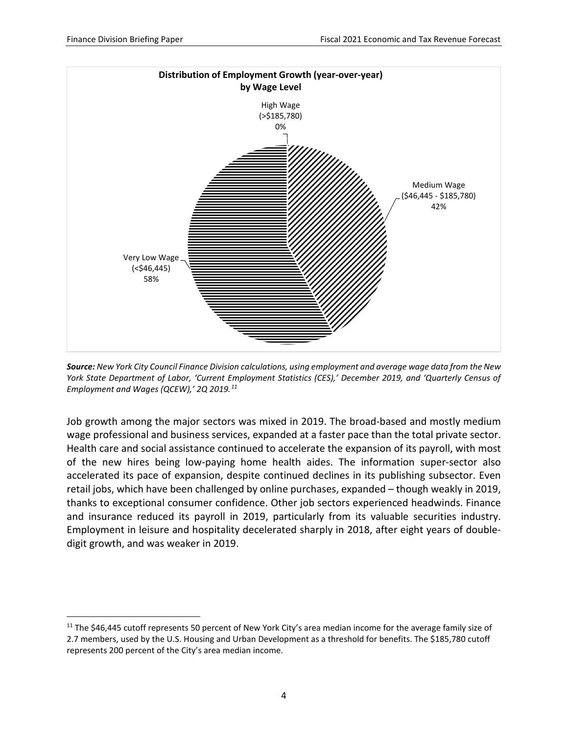

*Source: New York City Council Finance Division calculations, using employment and average wage data from the New York State Department of Labor, 'Current Employment Statistics (CES),' December 2019, and 'Quarterly Census of Employment and Wages (QCEW),' 2Q 2019.[11](#page-6-0)*

Job growth among the major sectors was mixed in 2019. The broad-based and mostly medium wage professional and business services, expanded at a faster pace than the total private sector. Health care and social assistance continued to accelerate the expansion of its payroll, with most of the new hires being low-paying home health aides. The information super-sector also accelerated its pace of expansion, despite continued declines in its publishing subsector. Even retail jobs, which have been challenged by online purchases, expanded – though weakly in 2019, thanks to exceptional consumer confidence. Other job sectors experienced headwinds. Finance and insurance reduced its payroll in 2019, particularly from its valuable securities industry. Employment in leisure and hospitality decelerated sharply in 2018, after eight years of doubledigit growth, and was weaker in 2019.

<span id="page-6-0"></span><sup>&</sup>lt;sup>11</sup> The \$46,445 cutoff represents 50 percent of New York City's area median income for the average family size of 2.7 members, used by the U.S. Housing and Urban Development as a threshold for benefits. The \$185,780 cutoff represents 200 percent of the City's area median income.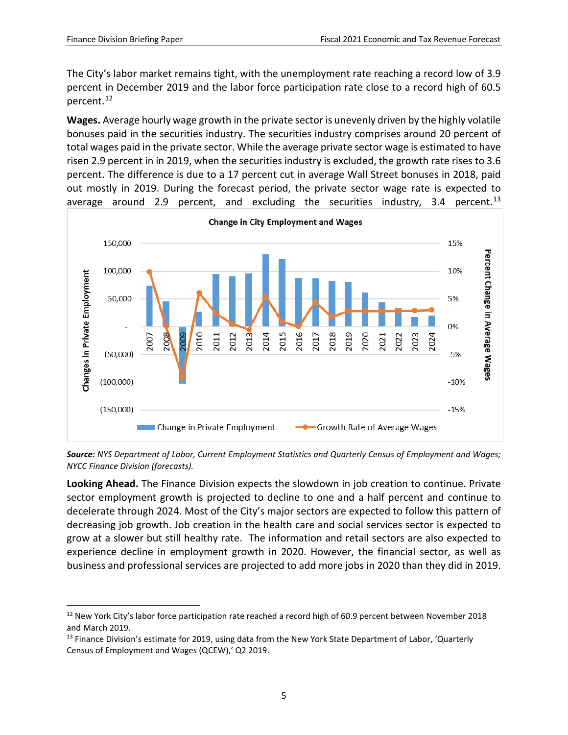The City's labor market remains tight, with the unemployment rate reaching a record low of 3.9 percent in December 2019 and the labor force participation rate close to a record high of 60.5 percent.[12](#page-7-0)

**Wages.** Average hourly wage growth in the private sector is unevenly driven by the highly volatile bonuses paid in the securities industry. The securities industry comprises around 20 percent of total wages paid in the private sector. While the average private sector wage is estimated to have risen 2.9 percent in in 2019, when the securities industry is excluded, the growth rate rises to 3.6 percent. The difference is due to a 17 percent cut in average Wall Street bonuses in 2018, paid out mostly in 2019. During the forecast period, the private sector wage rate is expected to average around 2.9 percent, and excluding the securities industry, 3.4 percent.<sup>[13](#page-7-1)</sup>



*Source: NYS Department of Labor, Current Employment Statistics and Quarterly Census of Employment and Wages; NYCC Finance Division (forecasts).*

**Looking Ahead.** The Finance Division expects the slowdown in job creation to continue. Private sector employment growth is projected to decline to one and a half percent and continue to decelerate through 2024. Most of the City's major sectors are expected to follow this pattern of decreasing job growth. Job creation in the health care and social services sector is expected to grow at a slower but still healthy rate. The information and retail sectors are also expected to experience decline in employment growth in 2020. However, the financial sector, as well as business and professional services are projected to add more jobs in 2020 than they did in 2019.

<span id="page-7-0"></span><sup>&</sup>lt;sup>12</sup> New York City's labor force participation rate reached a record high of 60.9 percent between November 2018 and March 2019.

<span id="page-7-1"></span><sup>&</sup>lt;sup>13</sup> Finance Division's estimate for 2019, using data from the New York State Department of Labor, 'Quarterly Census of Employment and Wages (QCEW),' Q2 2019.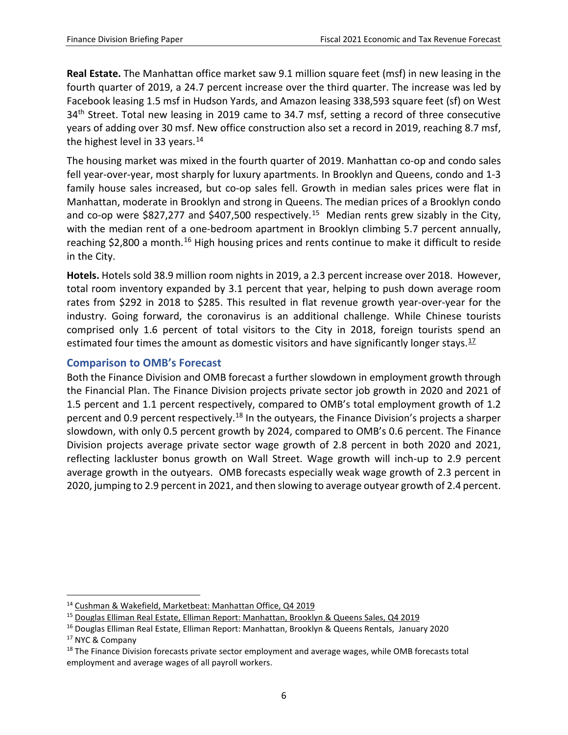**Real Estate.** The Manhattan office market saw 9.1 million square feet (msf) in new leasing in the fourth quarter of 2019, a 24.7 percent increase over the third quarter. The increase was led by Facebook leasing 1.5 msf in Hudson Yards, and Amazon leasing 338,593 square feet (sf) on West 34<sup>th</sup> Street. Total new leasing in 2019 came to 34.7 msf, setting a record of three consecutive years of adding over 30 msf. New office construction also set a record in 2019, reaching 8.7 msf, the highest level in 33 years.<sup>[14](#page-8-1)</sup>

The housing market was mixed in the fourth quarter of 2019. Manhattan co-op and condo sales fell year-over-year, most sharply for luxury apartments. In Brooklyn and Queens, condo and 1-3 family house sales increased, but co-op sales fell. Growth in median sales prices were flat in Manhattan, moderate in Brooklyn and strong in Queens. The median prices of a Brooklyn condo and co-op were \$827,277 and \$407,500 respectively.<sup>15</sup> Median rents grew sizably in the City, with the median rent of a one-bedroom apartment in Brooklyn climbing 5.7 percent annually, reaching \$2,800 a month.<sup>[16](#page-8-3)</sup> High housing prices and rents continue to make it difficult to reside in the City.

**Hotels.** Hotels sold 38.9 million room nights in 2019, a 2.3 percent increase over 2018. However, total room inventory expanded by 3.1 percent that year, helping to push down average room rates from \$292 in 2018 to \$285. This resulted in flat revenue growth year-over-year for the industry. Going forward, the coronavirus is an additional challenge. While Chinese tourists comprised only 1.6 percent of total visitors to the City in 2018, foreign tourists spend an estimated four times the amount as domestic visitors and have significantly longer stays. $17$ 

### <span id="page-8-0"></span>**Comparison to OMB's Forecast**

Both the Finance Division and OMB forecast a further slowdown in employment growth through the Financial Plan. The Finance Division projects private sector job growth in 2020 and 2021 of 1.5 percent and 1.1 percent respectively, compared to OMB's total employment growth of 1.2 percent and 0.9 percent respectively.<sup>[18](#page-8-5)</sup> In the outyears, the Finance Division's projects a sharper slowdown, with only 0.5 percent growth by 2024, compared to OMB's 0.6 percent. The Finance Division projects average private sector wage growth of 2.8 percent in both 2020 and 2021, reflecting lackluster bonus growth on Wall Street. Wage growth will inch-up to 2.9 percent average growth in the outyears. OMB forecasts especially weak wage growth of 2.3 percent in 2020, jumping to 2.9 percent in 2021, and then slowing to average outyear growth of 2.4 percent.

<span id="page-8-1"></span> <sup>14</sup> Cushman & Wakefield, Marketbeat: Manhattan Office, Q4 2019

<span id="page-8-2"></span><sup>&</sup>lt;sup>15</sup> Douglas Elliman Real Estate, Elliman Report: Manhattan, Brooklyn & Queens Sales, Q4 2019

<span id="page-8-3"></span><sup>16</sup> Douglas Elliman Real Estate, Elliman Report: Manhattan, Brooklyn & Queens Rentals, January 2020

<span id="page-8-4"></span><sup>&</sup>lt;sup>17</sup> NYC & Company

<span id="page-8-5"></span> $18$  The Finance Division forecasts private sector employment and average wages, while OMB forecasts total employment and average wages of all payroll workers.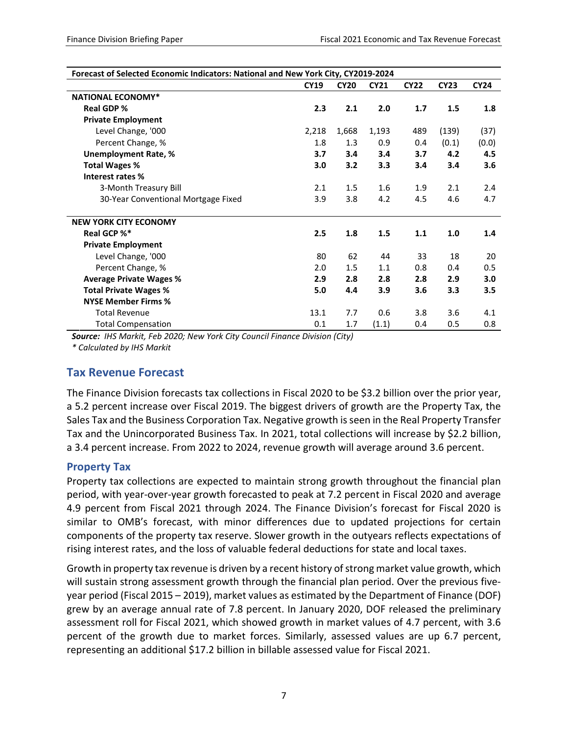| Forecast of Selected Economic Indicators: National and New York City, CY2019-2024 |             |             |             |             |             |             |
|-----------------------------------------------------------------------------------|-------------|-------------|-------------|-------------|-------------|-------------|
|                                                                                   | <b>CY19</b> | <b>CY20</b> | <b>CY21</b> | <b>CY22</b> | <b>CY23</b> | <b>CY24</b> |
| <b>NATIONAL ECONOMY*</b>                                                          |             |             |             |             |             |             |
| <b>Real GDP %</b>                                                                 | 2.3         | 2.1         | 2.0         | 1.7         | 1.5         | 1.8         |
| <b>Private Employment</b>                                                         |             |             |             |             |             |             |
| Level Change, '000                                                                | 2,218       | 1,668       | 1,193       | 489         | (139)       | (37)        |
| Percent Change, %                                                                 | 1.8         | 1.3         | 0.9         | 0.4         | (0.1)       | (0.0)       |
| <b>Unemployment Rate, %</b>                                                       | 3.7         | 3.4         | 3.4         | 3.7         | 4.2         | 4.5         |
| <b>Total Wages %</b>                                                              | 3.0         | 3.2         | 3.3         | 3.4         | 3.4         | 3.6         |
| Interest rates %                                                                  |             |             |             |             |             |             |
| 3-Month Treasury Bill                                                             | 2.1         | 1.5         | 1.6         | 1.9         | 2.1         | 2.4         |
| 30-Year Conventional Mortgage Fixed                                               | 3.9         | 3.8         | 4.2         | 4.5         | 4.6         | 4.7         |
| <b>NEW YORK CITY ECONOMY</b>                                                      |             |             |             |             |             |             |
| Real GCP %*                                                                       | 2.5         | 1.8         | 1.5         | 1.1         | 1.0         | 1.4         |
| <b>Private Employment</b>                                                         |             |             |             |             |             |             |
| Level Change, '000                                                                | 80          | 62          | 44          | 33          | 18          | 20          |
| Percent Change, %                                                                 | 2.0         | 1.5         | 1.1         | 0.8         | 0.4         | 0.5         |
| <b>Average Private Wages %</b>                                                    | 2.9         | 2.8         | 2.8         | 2.8         | 2.9         | 3.0         |
| <b>Total Private Wages %</b>                                                      | 5.0         | 4.4         | 3.9         | 3.6         | 3.3         | 3.5         |
| <b>NYSE Member Firms %</b>                                                        |             |             |             |             |             |             |
| <b>Total Revenue</b>                                                              | 13.1        | 7.7         | 0.6         | 3.8         | 3.6         | 4.1         |
| <b>Total Compensation</b>                                                         | 0.1         | 1.7         | (1.1)       | 0.4         | 0.5         | 0.8         |

*Source: IHS Markit, Feb 2020; New York City Council Finance Division (City)*

<span id="page-9-0"></span>*\* Calculated by IHS Markit*

# **Tax Revenue Forecast**

The Finance Division forecasts tax collections in Fiscal 2020 to be \$3.2 billion over the prior year, a 5.2 percent increase over Fiscal 2019. The biggest drivers of growth are the Property Tax, the Sales Tax and the Business Corporation Tax. Negative growth is seen in the Real Property Transfer Tax and the Unincorporated Business Tax. In 2021, total collections will increase by \$2.2 billion, a 3.4 percent increase. From 2022 to 2024, revenue growth will average around 3.6 percent.

### <span id="page-9-1"></span>**Property Tax**

Property tax collections are expected to maintain strong growth throughout the financial plan period, with year-over-year growth forecasted to peak at 7.2 percent in Fiscal 2020 and average 4.9 percent from Fiscal 2021 through 2024. The Finance Division's forecast for Fiscal 2020 is similar to OMB's forecast, with minor differences due to updated projections for certain components of the property tax reserve. Slower growth in the outyears reflects expectations of rising interest rates, and the loss of valuable federal deductions for state and local taxes.

Growth in property tax revenue is driven by a recent history of strong market value growth, which will sustain strong assessment growth through the financial plan period. Over the previous fiveyear period (Fiscal 2015 – 2019), market values as estimated by the Department of Finance (DOF) grew by an average annual rate of 7.8 percent. In January 2020, DOF released the preliminary assessment roll for Fiscal 2021, which showed growth in market values of 4.7 percent, with 3.6 percent of the growth due to market forces. Similarly, assessed values are up 6.7 percent, representing an additional \$17.2 billion in billable assessed value for Fiscal 2021.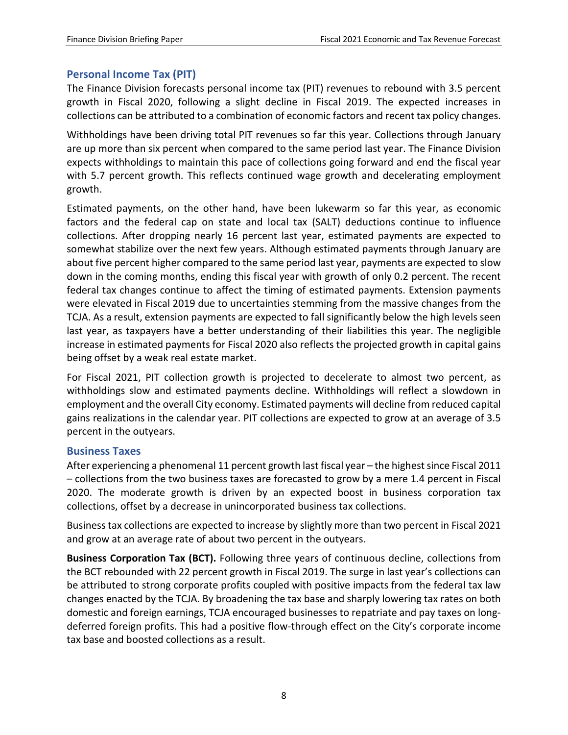## <span id="page-10-0"></span>**Personal Income Tax (PIT)**

The Finance Division forecasts personal income tax (PIT) revenues to rebound with 3.5 percent growth in Fiscal 2020, following a slight decline in Fiscal 2019. The expected increases in collections can be attributed to a combination of economic factors and recent tax policy changes.

Withholdings have been driving total PIT revenues so far this year. Collections through January are up more than six percent when compared to the same period last year. The Finance Division expects withholdings to maintain this pace of collections going forward and end the fiscal year with 5.7 percent growth. This reflects continued wage growth and decelerating employment growth.

Estimated payments, on the other hand, have been lukewarm so far this year, as economic factors and the federal cap on state and local tax (SALT) deductions continue to influence collections. After dropping nearly 16 percent last year, estimated payments are expected to somewhat stabilize over the next few years. Although estimated payments through January are about five percent higher compared to the same period last year, payments are expected to slow down in the coming months, ending this fiscal year with growth of only 0.2 percent. The recent federal tax changes continue to affect the timing of estimated payments. Extension payments were elevated in Fiscal 2019 due to uncertainties stemming from the massive changes from the TCJA. As a result, extension payments are expected to fall significantly below the high levels seen last year, as taxpayers have a better understanding of their liabilities this year. The negligible increase in estimated payments for Fiscal 2020 also reflects the projected growth in capital gains being offset by a weak real estate market.

For Fiscal 2021, PIT collection growth is projected to decelerate to almost two percent, as withholdings slow and estimated payments decline. Withholdings will reflect a slowdown in employment and the overall City economy. Estimated payments will decline from reduced capital gains realizations in the calendar year. PIT collections are expected to grow at an average of 3.5 percent in the outyears.

### <span id="page-10-1"></span>**Business Taxes**

After experiencing a phenomenal 11 percent growth last fiscal year – the highest since Fiscal 2011 – collections from the two business taxes are forecasted to grow by a mere 1.4 percent in Fiscal 2020. The moderate growth is driven by an expected boost in business corporation tax collections, offset by a decrease in unincorporated business tax collections.

Business tax collections are expected to increase by slightly more than two percent in Fiscal 2021 and grow at an average rate of about two percent in the outyears.

**Business Corporation Tax (BCT).** Following three years of continuous decline, collections from the BCT rebounded with 22 percent growth in Fiscal 2019. The surge in last year's collections can be attributed to strong corporate profits coupled with positive impacts from the federal tax law changes enacted by the TCJA. By broadening the tax base and sharply lowering tax rates on both domestic and foreign earnings, TCJA encouraged businesses to repatriate and pay taxes on longdeferred foreign profits. This had a positive flow-through effect on the City's corporate income tax base and boosted collections as a result.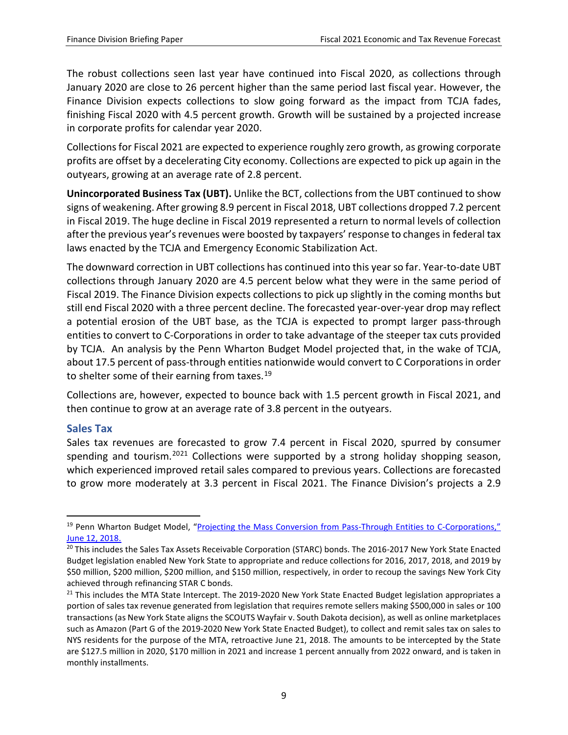The robust collections seen last year have continued into Fiscal 2020, as collections through January 2020 are close to 26 percent higher than the same period last fiscal year. However, the Finance Division expects collections to slow going forward as the impact from TCJA fades, finishing Fiscal 2020 with 4.5 percent growth. Growth will be sustained by a projected increase in corporate profits for calendar year 2020.

Collections for Fiscal 2021 are expected to experience roughly zero growth, as growing corporate profits are offset by a decelerating City economy. Collections are expected to pick up again in the outyears, growing at an average rate of 2.8 percent.

**Unincorporated Business Tax (UBT).** Unlike the BCT, collections from the UBT continued to show signs of weakening. After growing 8.9 percent in Fiscal 2018, UBT collections dropped 7.2 percent in Fiscal 2019. The huge decline in Fiscal 2019 represented a return to normal levels of collection after the previous year's revenues were boosted by taxpayers' response to changes in federal tax laws enacted by the TCJA and Emergency Economic Stabilization Act.

The downward correction in UBT collections has continued into this year so far. Year-to-date UBT collections through January 2020 are 4.5 percent below what they were in the same period of Fiscal 2019. The Finance Division expects collections to pick up slightly in the coming months but still end Fiscal 2020 with a three percent decline. The forecasted year-over-year drop may reflect a potential erosion of the UBT base, as the TCJA is expected to prompt larger pass-through entities to convert to C-Corporations in order to take advantage of the steeper tax cuts provided by TCJA. An analysis by the Penn Wharton Budget Model projected that, in the wake of TCJA, about 17.5 percent of pass-through entities nationwide would convert to C Corporations in order to shelter some of their earning from taxes.<sup>[19](#page-11-1)</sup>

Collections are, however, expected to bounce back with 1.5 percent growth in Fiscal 2021, and then continue to grow at an average rate of 3.8 percent in the outyears.

### <span id="page-11-0"></span>**Sales Tax**

Sales tax revenues are forecasted to grow 7.4 percent in Fiscal 2020, spurred by consumer spending and tourism.<sup>[20](#page-11-2)[21](#page-11-3)</sup> Collections were supported by a strong holiday shopping season, which experienced improved retail sales compared to previous years. Collections are forecasted to grow more moderately at 3.3 percent in Fiscal 2021. The Finance Division's projects a 2.9

<span id="page-11-1"></span> <sup>19</sup> Penn Wharton Budget Model, ["Projecting the Mass Conversion from Pass-Through Entities to C-Corporations,"](https://budgetmodel.wharton.upenn.edu/issues/2018/6/12/projecting-the-mass-conversion-from-pass-through-entities-to-c-corporations) June 12, 2018.

<span id="page-11-2"></span><sup>&</sup>lt;sup>20</sup> This includes the Sales Tax Assets Receivable Corporation (STARC) bonds. The 2016-2017 New York State Enacted Budget legislation enabled New York State to appropriate and reduce collections for 2016, 2017, 2018, and 2019 by \$50 million, \$200 million, \$200 million, and \$150 million, respectively, in order to recoup the savings New York City achieved through refinancing STAR C bonds.

<span id="page-11-3"></span> $21$  This includes the MTA State Intercept. The 2019-2020 New York State Enacted Budget legislation appropriates a portion of sales tax revenue generated from legislation that requires remote sellers making \$500,000 in sales or 100 transactions (as New York State aligns the SCOUTS Wayfair v. South Dakota decision), as well as online marketplaces such as Amazon (Part G of the 2019-2020 New York State Enacted Budget), to collect and remit sales tax on sales to NYS residents for the purpose of the MTA, retroactive June 21, 2018. The amounts to be intercepted by the State are \$127.5 million in 2020, \$170 million in 2021 and increase 1 percent annually from 2022 onward, and is taken in monthly installments.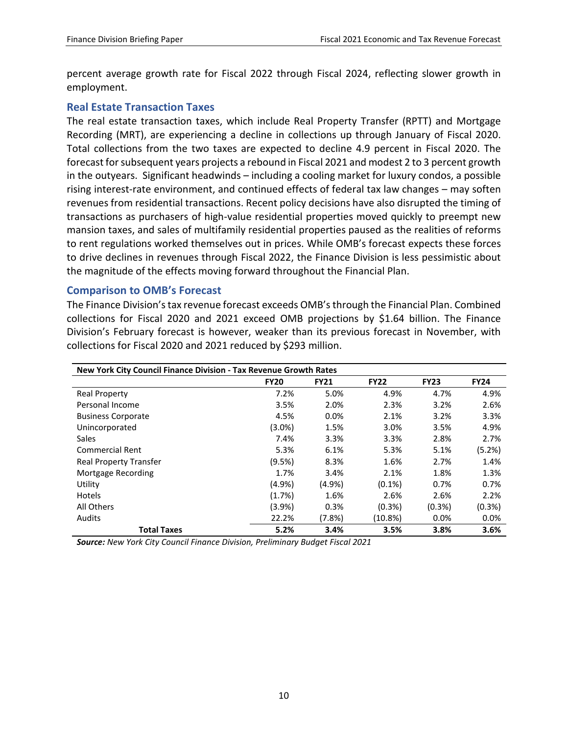percent average growth rate for Fiscal 2022 through Fiscal 2024, reflecting slower growth in employment.

#### <span id="page-12-0"></span>**Real Estate Transaction Taxes**

The real estate transaction taxes, which include Real Property Transfer (RPTT) and Mortgage Recording (MRT), are experiencing a decline in collections up through January of Fiscal 2020. Total collections from the two taxes are expected to decline 4.9 percent in Fiscal 2020. The forecast for subsequent years projects a rebound in Fiscal 2021 and modest 2 to 3 percent growth in the outyears. Significant headwinds – including a cooling market for luxury condos, a possible rising interest-rate environment, and continued effects of federal tax law changes – may soften revenues from residential transactions. Recent policy decisions have also disrupted the timing of transactions as purchasers of high-value residential properties moved quickly to preempt new mansion taxes, and sales of multifamily residential properties paused as the realities of reforms to rent regulations worked themselves out in prices. While OMB's forecast expects these forces to drive declines in revenues through Fiscal 2022, the Finance Division is less pessimistic about the magnitude of the effects moving forward throughout the Financial Plan.

#### <span id="page-12-1"></span>**Comparison to OMB's Forecast**

The Finance Division's tax revenue forecast exceeds OMB's through the Financial Plan. Combined collections for Fiscal 2020 and 2021 exceed OMB projections by \$1.64 billion. The Finance Division's February forecast is however, weaker than its previous forecast in November, with collections for Fiscal 2020 and 2021 reduced by \$293 million.

| New York City Council Finance Division - Tax Revenue Growth Rates |             |             |             |             |             |  |  |
|-------------------------------------------------------------------|-------------|-------------|-------------|-------------|-------------|--|--|
|                                                                   | <b>FY20</b> | <b>FY21</b> | <b>FY22</b> | <b>FY23</b> | <b>FY24</b> |  |  |
| <b>Real Property</b>                                              | 7.2%        | 5.0%        | 4.9%        | 4.7%        | 4.9%        |  |  |
| Personal Income                                                   | 3.5%        | 2.0%        | 2.3%        | 3.2%        | 2.6%        |  |  |
| <b>Business Corporate</b>                                         | 4.5%        | 0.0%        | 2.1%        | 3.2%        | 3.3%        |  |  |
| Unincorporated                                                    | $(3.0\%)$   | 1.5%        | 3.0%        | 3.5%        | 4.9%        |  |  |
| Sales                                                             | 7.4%        | 3.3%        | 3.3%        | 2.8%        | 2.7%        |  |  |
| Commercial Rent                                                   | 5.3%        | 6.1%        | 5.3%        | 5.1%        | (5.2%)      |  |  |
| <b>Real Property Transfer</b>                                     | (9.5%)      | 8.3%        | 1.6%        | 2.7%        | 1.4%        |  |  |
| Mortgage Recording                                                | 1.7%        | 3.4%        | 2.1%        | 1.8%        | 1.3%        |  |  |
| Utility                                                           | $(4.9\%)$   | (4.9%       | $(0.1\%)$   | 0.7%        | 0.7%        |  |  |
| Hotels                                                            | (1.7%)      | 1.6%        | 2.6%        | 2.6%        | 2.2%        |  |  |
| All Others                                                        | (3.9%)      | 0.3%        | $(0.3\%)$   | $(0.3\%)$   | $(0.3\%)$   |  |  |
| Audits                                                            | 22.2%       | (7.8%)      | (10.8%)     | $0.0\%$     | 0.0%        |  |  |
| <b>Total Taxes</b>                                                | 5.2%        | 3.4%        | 3.5%        | 3.8%        | 3.6%        |  |  |

*Source: New York City Council Finance Division, Preliminary Budget Fiscal 2021*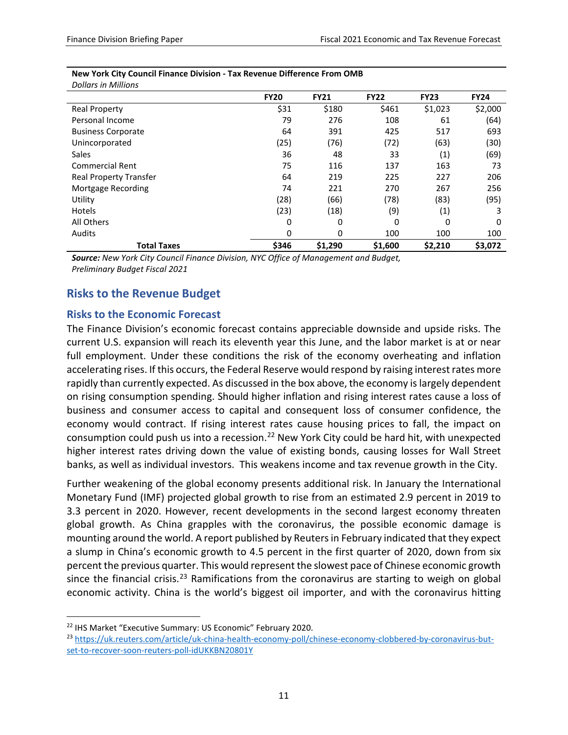| <i>DONAL'S IN IVINNONS</i>    |             |             |             |             |             |
|-------------------------------|-------------|-------------|-------------|-------------|-------------|
|                               | <b>FY20</b> | <b>FY21</b> | <b>FY22</b> | <b>FY23</b> | <b>FY24</b> |
| <b>Real Property</b>          | \$31        | \$180       | \$461       | \$1,023     | \$2,000     |
| Personal Income               | 79          | 276         | 108         | 61          | (64)        |
| <b>Business Corporate</b>     | 64          | 391         | 425         | 517         | 693         |
| Unincorporated                | (25)        | (76)        | (72)        | (63)        | (30)        |
| <b>Sales</b>                  | 36          | 48          | 33          | (1)         | (69)        |
| <b>Commercial Rent</b>        | 75          | 116         | 137         | 163         | 73          |
| <b>Real Property Transfer</b> | 64          | 219         | 225         | 227         | 206         |
| Mortgage Recording            | 74          | 221         | 270         | 267         | 256         |
| Utility                       | (28)        | (66)        | (78)        | (83)        | (95)        |
| Hotels                        | (23)        | (18)        | (9)         | (1)         | 3           |
| All Others                    | 0           | 0           | 0           | 0           | 0           |
| <b>Audits</b>                 | 0           | 0           | 100         | 100         | 100         |
| <b>Total Taxes</b>            | \$346       | \$1,290     | \$1,600     | \$2,210     | \$3,072     |

#### **New York City Council Finance Division - Tax Revenue Difference From OMB** *Dollars in Millions*

*Source: New York City Council Finance Division, NYC Office of Management and Budget, Preliminary Budget Fiscal 2021*

# <span id="page-13-0"></span>**Risks to the Revenue Budget**

### <span id="page-13-1"></span>**Risks to the Economic Forecast**

The Finance Division's economic forecast contains appreciable downside and upside risks. The current U.S. expansion will reach its eleventh year this June, and the labor market is at or near full employment. Under these conditions the risk of the economy overheating and inflation accelerating rises. If this occurs, the Federal Reserve would respond by raising interest rates more rapidly than currently expected. As discussed in the box above, the economy is largely dependent on rising consumption spending. Should higher inflation and rising interest rates cause a loss of business and consumer access to capital and consequent loss of consumer confidence, the economy would contract. If rising interest rates cause housing prices to fall, the impact on consumption could push us into a recession.<sup>[22](#page-13-2)</sup> New York City could be hard hit, with unexpected higher interest rates driving down the value of existing bonds, causing losses for Wall Street banks, as well as individual investors. This weakens income and tax revenue growth in the City.

Further weakening of the global economy presents additional risk. In January the International Monetary Fund (IMF) projected global growth to rise from an estimated 2.9 percent in 2019 to 3.3 percent in 2020. However, recent developments in the second largest economy threaten global growth. As China grapples with the coronavirus, the possible economic damage is mounting around the world. A report published by Reuters in February indicated that they expect a slump in China's economic growth to 4.5 percent in the first quarter of 2020, down from six percent the previous quarter. This would represent the slowest pace of Chinese economic growth since the financial crisis.<sup>[23](#page-13-3)</sup> Ramifications from the coronavirus are starting to weigh on global economic activity. China is the world's biggest oil importer, and with the coronavirus hitting

<span id="page-13-3"></span><span id="page-13-2"></span><sup>&</sup>lt;sup>22</sup> IHS Market "Executive Summary: US Economic" February 2020.<br><sup>23</sup> [https://uk.reuters.com/article/uk-china-health-economy-poll/chinese-economy-clobbered-by-coronavirus-but](https://uk.reuters.com/article/uk-china-health-economy-poll/chinese-economy-clobbered-by-coronavirus-but-set-to-recover-soon-reuters-poll-idUKKBN20801Y)[set-to-recover-soon-reuters-poll-idUKKBN20801Y](https://uk.reuters.com/article/uk-china-health-economy-poll/chinese-economy-clobbered-by-coronavirus-but-set-to-recover-soon-reuters-poll-idUKKBN20801Y)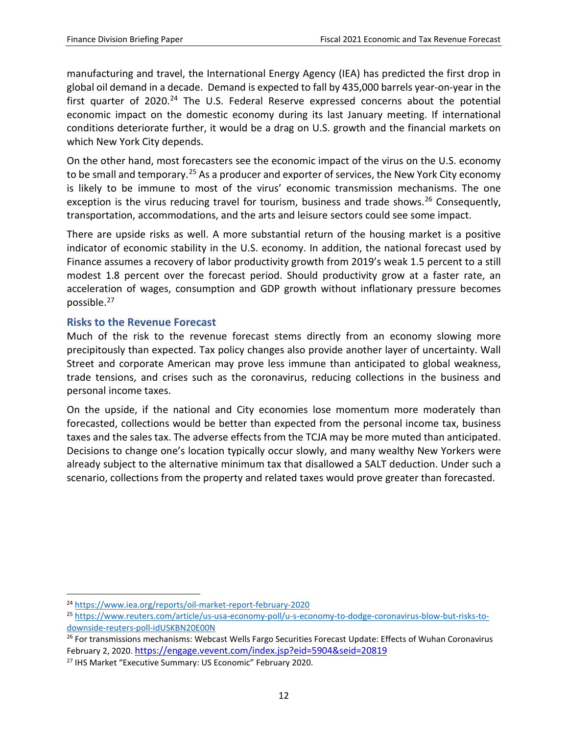manufacturing and travel, the International Energy Agency (IEA) has predicted the first drop in global oil demand in a decade. Demand is expected to fall by 435,000 barrels year-on-year in the first quarter of  $2020.<sup>24</sup>$  $2020.<sup>24</sup>$  $2020.<sup>24</sup>$  The U.S. Federal Reserve expressed concerns about the potential economic impact on the domestic economy during its last January meeting. If international conditions deteriorate further, it would be a drag on U.S. growth and the financial markets on which New York City depends.

On the other hand, most forecasters see the economic impact of the virus on the U.S. economy to be small and temporary.<sup>[25](#page-14-2)</sup> As a producer and exporter of services, the New York City economy is likely to be immune to most of the virus' economic transmission mechanisms. The one exception is the virus reducing travel for tourism, business and trade shows.<sup>[26](#page-14-3)</sup> Consequently, transportation, accommodations, and the arts and leisure sectors could see some impact.

There are upside risks as well. A more substantial return of the housing market is a positive indicator of economic stability in the U.S. economy. In addition, the national forecast used by Finance assumes a recovery of labor productivity growth from 2019's weak 1.5 percent to a still modest 1.8 percent over the forecast period. Should productivity grow at a faster rate, an acceleration of wages, consumption and GDP growth without inflationary pressure becomes possible.[27](#page-14-4)

### <span id="page-14-0"></span>**Risks to the Revenue Forecast**

Much of the risk to the revenue forecast stems directly from an economy slowing more precipitously than expected. Tax policy changes also provide another layer of uncertainty. Wall Street and corporate American may prove less immune than anticipated to global weakness, trade tensions, and crises such as the coronavirus, reducing collections in the business and personal income taxes.

On the upside, if the national and City economies lose momentum more moderately than forecasted, collections would be better than expected from the personal income tax, business taxes and the sales tax. The adverse effects from the TCJA may be more muted than anticipated. Decisions to change one's location typically occur slowly, and many wealthy New Yorkers were already subject to the alternative minimum tax that disallowed a SALT deduction. Under such a scenario, collections from the property and related taxes would prove greater than forecasted.

<span id="page-14-1"></span> <sup>24</sup> <https://www.iea.org/reports/oil-market-report-february-2020>

<span id="page-14-2"></span><sup>25</sup> [https://www.reuters.com/article/us-usa-economy-poll/u-s-economy-to-dodge-coronavirus-blow-but-risks-to](https://www.reuters.com/article/us-usa-economy-poll/u-s-economy-to-dodge-coronavirus-blow-but-risks-to-downside-reuters-poll-idUSKBN20E00N)[downside-reuters-poll-idUSKBN20E00N](https://www.reuters.com/article/us-usa-economy-poll/u-s-economy-to-dodge-coronavirus-blow-but-risks-to-downside-reuters-poll-idUSKBN20E00N)

<span id="page-14-3"></span><sup>&</sup>lt;sup>26</sup> For transmissions mechanisms: Webcast Wells Fargo Securities Forecast Update: Effects of Wuhan Coronavirus February 2, 2020[. https://engage.vevent.com/index.jsp?eid=5904&seid=20819](https://engage.vevent.com/index.jsp?eid=5904&seid=20819)

<span id="page-14-4"></span><sup>&</sup>lt;sup>27</sup> IHS Market "Executive Summary: US Economic" February 2020.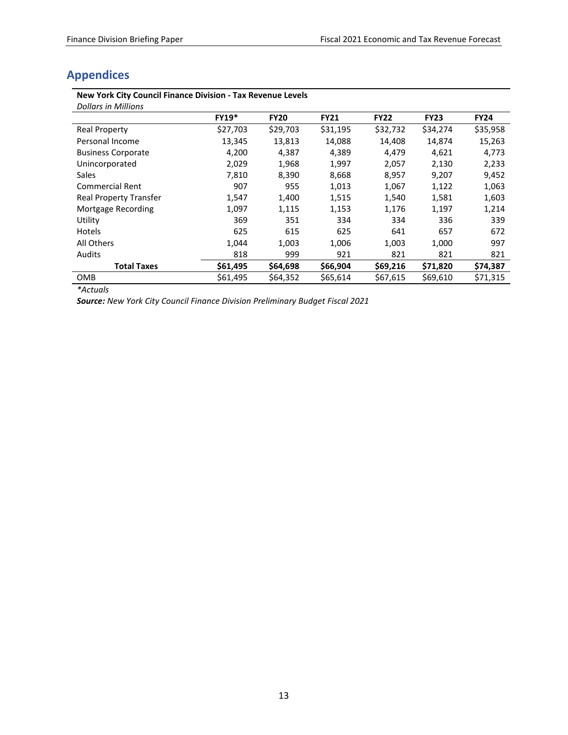# <span id="page-15-0"></span>**Appendices**

# **New York City Council Finance Division - Tax Revenue Levels**

| <b>Dollars in Millions</b>    |              |             |             |             |             |             |
|-------------------------------|--------------|-------------|-------------|-------------|-------------|-------------|
|                               | <b>FY19*</b> | <b>FY20</b> | <b>FY21</b> | <b>FY22</b> | <b>FY23</b> | <b>FY24</b> |
| <b>Real Property</b>          | \$27,703     | \$29,703    | \$31,195    | \$32,732    | \$34,274    | \$35,958    |
| Personal Income               | 13,345       | 13,813      | 14,088      | 14,408      | 14,874      | 15,263      |
| <b>Business Corporate</b>     | 4,200        | 4,387       | 4,389       | 4,479       | 4,621       | 4,773       |
| Unincorporated                | 2,029        | 1,968       | 1,997       | 2,057       | 2,130       | 2,233       |
| <b>Sales</b>                  | 7,810        | 8,390       | 8,668       | 8,957       | 9,207       | 9,452       |
| <b>Commercial Rent</b>        | 907          | 955         | 1,013       | 1,067       | 1,122       | 1,063       |
| <b>Real Property Transfer</b> | 1,547        | 1,400       | 1,515       | 1,540       | 1,581       | 1,603       |
| Mortgage Recording            | 1,097        | 1,115       | 1,153       | 1,176       | 1,197       | 1,214       |
| Utility                       | 369          | 351         | 334         | 334         | 336         | 339         |
| Hotels                        | 625          | 615         | 625         | 641         | 657         | 672         |
| All Others                    | 1,044        | 1,003       | 1,006       | 1,003       | 1,000       | 997         |
| Audits                        | 818          | 999         | 921         | 821         | 821         | 821         |
| <b>Total Taxes</b>            | \$61,495     | \$64,698    | \$66,904    | \$69,216    | \$71,820    | \$74,387    |
| <b>OMB</b>                    | \$61,495     | \$64,352    | \$65,614    | \$67,615    | \$69,610    | \$71,315    |

*\*Actuals*

*Source: New York City Council Finance Division Preliminary Budget Fiscal 2021*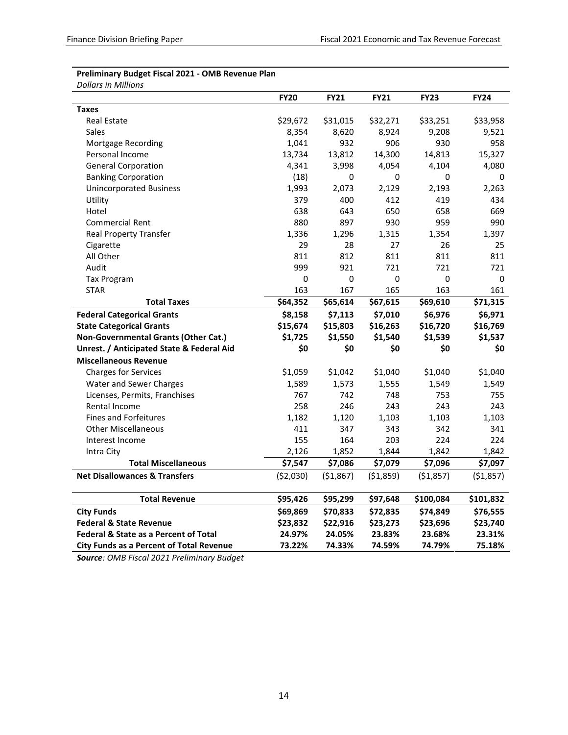#### **Preliminary Budget Fiscal 2021 - OMB Revenue Plan** *Dollars in Millions*

|                                                  | <b>FY20</b> | <b>FY21</b> | <b>FY21</b> | <b>FY23</b> | <b>FY24</b> |
|--------------------------------------------------|-------------|-------------|-------------|-------------|-------------|
| <b>Taxes</b>                                     |             |             |             |             |             |
| <b>Real Estate</b>                               | \$29,672    | \$31,015    | \$32,271    | \$33,251    | \$33,958    |
| Sales                                            | 8,354       | 8,620       | 8,924       | 9,208       | 9,521       |
| Mortgage Recording                               | 1,041       | 932         | 906         | 930         | 958         |
| Personal Income                                  | 13,734      | 13,812      | 14,300      | 14,813      | 15,327      |
| <b>General Corporation</b>                       | 4,341       | 3,998       | 4,054       | 4,104       | 4,080       |
| <b>Banking Corporation</b>                       | (18)        | 0           | 0           | 0           | 0           |
| <b>Unincorporated Business</b>                   | 1,993       | 2,073       | 2,129       | 2,193       | 2,263       |
| Utility                                          | 379         | 400         | 412         | 419         | 434         |
| Hotel                                            | 638         | 643         | 650         | 658         | 669         |
| <b>Commercial Rent</b>                           | 880         | 897         | 930         | 959         | 990         |
| <b>Real Property Transfer</b>                    | 1,336       | 1,296       | 1,315       | 1,354       | 1,397       |
| Cigarette                                        | 29          | 28          | 27          | 26          | 25          |
| All Other                                        | 811         | 812         | 811         | 811         | 811         |
| Audit                                            | 999         | 921         | 721         | 721         | 721         |
| <b>Tax Program</b>                               | 0           | 0           | 0           | 0           | 0           |
| <b>STAR</b>                                      | 163         | 167         | 165         | 163         | 161         |
| <b>Total Taxes</b>                               | \$64,352    | \$65,614    | \$67,615    | \$69,610    | \$71,315    |
| <b>Federal Categorical Grants</b>                | \$8,158     | \$7,113     | \$7,010     | \$6,976     | \$6,971     |
| <b>State Categorical Grants</b>                  | \$15,674    | \$15,803    | \$16,263    | \$16,720    | \$16,769    |
| Non-Governmental Grants (Other Cat.)             | \$1,725     | \$1,550     | \$1,540     | \$1,539     | \$1,537     |
| Unrest. / Anticipated State & Federal Aid        | \$0         | \$0         | \$0         | \$0         | \$0         |
| <b>Miscellaneous Revenue</b>                     |             |             |             |             |             |
| <b>Charges for Services</b>                      | \$1,059     | \$1,042     | \$1,040     | \$1,040     | \$1,040     |
| Water and Sewer Charges                          | 1,589       | 1,573       | 1,555       | 1,549       | 1,549       |
| Licenses, Permits, Franchises                    | 767         | 742         | 748         | 753         | 755         |
| Rental Income                                    | 258         | 246         | 243         | 243         | 243         |
| <b>Fines and Forfeitures</b>                     | 1,182       | 1,120       | 1,103       | 1,103       | 1,103       |
| <b>Other Miscellaneous</b>                       | 411         | 347         | 343         | 342         | 341         |
| Interest Income                                  | 155         | 164         | 203         | 224         | 224         |
| Intra City                                       | 2,126       | 1,852       | 1,844       | 1,842       | 1,842       |
| <b>Total Miscellaneous</b>                       | \$7,547     | \$7,086     | \$7,079     | \$7,096     | \$7,097     |
| <b>Net Disallowances &amp; Transfers</b>         | ( \$2,030)  | ( \$1,867)  | ( \$1,859)  | ( \$1,857)  | ( \$1,857)  |
|                                                  |             |             |             |             |             |
| <b>Total Revenue</b>                             | \$95,426    | \$95,299    | \$97,648    | \$100,084   | \$101,832   |
| <b>City Funds</b>                                | \$69,869    | \$70,833    | \$72,835    | \$74,849    | \$76,555    |
| <b>Federal &amp; State Revenue</b>               | \$23,832    | \$22,916    | \$23,273    | \$23,696    | \$23,740    |
| <b>Federal &amp; State as a Percent of Total</b> | 24.97%      | 24.05%      | 23.83%      | 23.68%      | 23.31%      |
| <b>City Funds as a Percent of Total Revenue</b>  | 73.22%      | 74.33%      | 74.59%      | 74.79%      | 75.18%      |

*Source: OMB Fiscal 2021 Preliminary Budget*